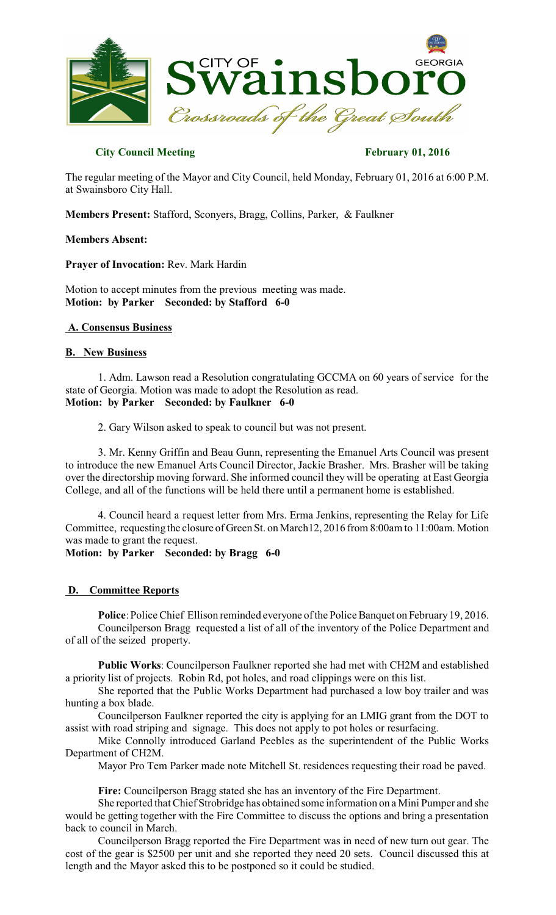

## **City Council Meeting February 01, 2016**

The regular meeting of the Mayor and City Council, held Monday, February 01, 2016 at 6:00 P.M. at Swainsboro City Hall.

**Members Present:** Stafford, Sconyers, Bragg, Collins, Parker, & Faulkner

## **Members Absent:**

**Prayer of Invocation:** Rev. Mark Hardin

Motion to accept minutes from the previous meeting was made. **Motion: by Parker Seconded: by Stafford 6-0** 

## **A. Consensus Business**

#### **B. New Business**

1. Adm. Lawson read a Resolution congratulating GCCMA on 60 years of service for the state of Georgia. Motion was made to adopt the Resolution as read. **Motion: by Parker Seconded: by Faulkner 6-0** 

2. Gary Wilson asked to speak to council but was not present.

3. Mr. Kenny Griffin and Beau Gunn, representing the Emanuel Arts Council was present to introduce the new Emanuel Arts Council Director, Jackie Brasher. Mrs. Brasher will be taking over the directorship moving forward. She informed council they will be operating at East Georgia College, and all of the functions will be held there until a permanent home is established.

4. Council heard a request letter from Mrs. Erma Jenkins, representing the Relay for Life Committee, requesting the closure of Green St. on March12, 2016 from 8:00am to 11:00am. Motion was made to grant the request.

# **Motion: by Parker Seconded: by Bragg 6-0**

## **D. Committee Reports**

**Police**: Police Chief Ellison reminded everyone of the Police Banquet on February 19, 2016. Councilperson Bragg requested a list of all of the inventory of the Police Department and of all of the seized property.

**Public Works**: Councilperson Faulkner reported she had met with CH2M and established a priority list of projects. Robin Rd, pot holes, and road clippings were on this list.

She reported that the Public Works Department had purchased a low boy trailer and was hunting a box blade.

Councilperson Faulkner reported the city is applying for an LMIG grant from the DOT to assist with road striping and signage. This does not apply to pot holes or resurfacing.

Mike Connolly introduced Garland Peebles as the superintendent of the Public Works Department of CH2M.

Mayor Pro Tem Parker made note Mitchell St. residences requesting their road be paved.

**Fire:** Councilperson Bragg stated she has an inventory of the Fire Department.

She reported that Chief Strobridge has obtained some information on a Mini Pumper and she would be getting together with the Fire Committee to discuss the options and bring a presentation back to council in March.

Councilperson Bragg reported the Fire Department was in need of new turn out gear. The cost of the gear is \$2500 per unit and she reported they need 20 sets. Council discussed this at length and the Mayor asked this to be postponed so it could be studied.